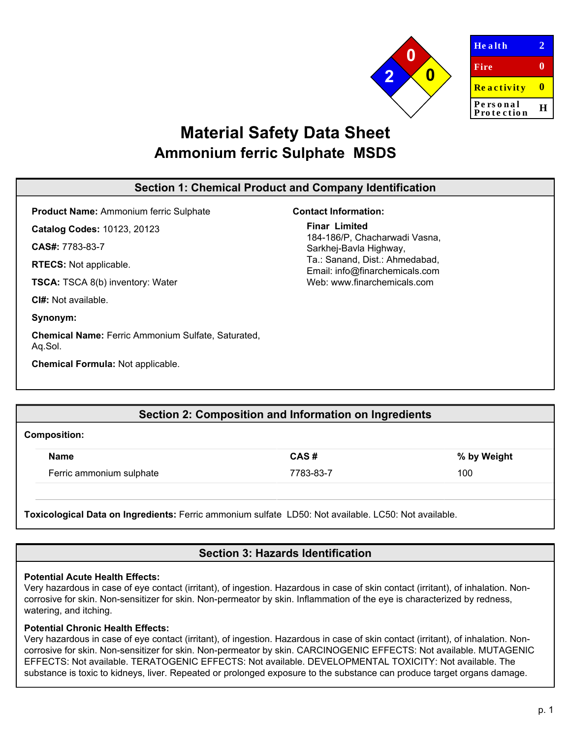

| <b>Health</b>          |   |
|------------------------|---|
| Fire                   | 0 |
| <b>Reactivity</b>      | П |
| Personal<br>Protection | н |

# **Material Safety Data Sheet Ammonium ferric Sulphate MSDS**

# **Section 1: Chemical Product and Company Identification**

**Product Name:** Ammonium ferric Sulphate

**Catalog Codes:** 10123, 20123

**CAS#:** 7783-83-7

**RTECS:** Not applicable.

**TSCA:** TSCA 8(b) inventory: Water

**CI#:** Not available.

**Synonym:**

**Chemical Name:** Ferric Ammonium Sulfate, Saturated, Aq.Sol.

**Chemical Formula:** Not applicable.

#### **Contact Information:**

**Finar Limited** 184-186/P, Chacharwadi Vasna, Sarkhej-Bavla Highway, Ta.: Sanand, Dist.: Ahmedabad, Email: info@finarchemicals.com Web: www.fin[archemicals.com](http://www.sciencelab.com/)

**Section 2: Composition and Information on Ingredients**

#### **Composition:**

| <b>Name</b>              | CAS#      | % by Weight |
|--------------------------|-----------|-------------|
| Ferric ammonium sulphate | 7783-83-7 | 100         |
|                          |           |             |

**Toxicological Data on Ingredients:** Ferric ammonium sulfate LD50: Not available. LC50: Not available.

# **Section 3: Hazards Identification**

#### **Potential Acute Health Effects:**

Very hazardous in case of eye contact (irritant), of ingestion. Hazardous in case of skin contact (irritant), of inhalation. Noncorrosive for skin. Non-sensitizer for skin. Non-permeator by skin. Inflammation of the eye is characterized by redness, watering, and itching.

### **Potential Chronic Health Effects:**

Very hazardous in case of eye contact (irritant), of ingestion. Hazardous in case of skin contact (irritant), of inhalation. Noncorrosive for skin. Non-sensitizer for skin. Non-permeator by skin. CARCINOGENIC EFFECTS: Not available. MUTAGENIC EFFECTS: Not available. TERATOGENIC EFFECTS: Not available. DEVELOPMENTAL TOXICITY: Not available. The substance is toxic to kidneys, liver. Repeated or prolonged exposure to the substance can produce target organs damage.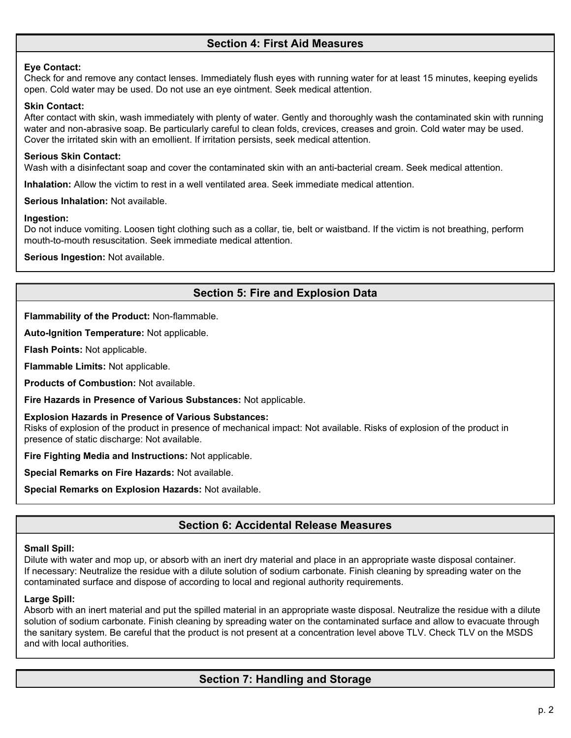# **Section 4: First Aid Measures**

#### **Eye Contact:**

Check for and remove any contact lenses. Immediately flush eyes with running water for at least 15 minutes, keeping eyelids open. Cold water may be used. Do not use an eye ointment. Seek medical attention.

#### **Skin Contact:**

After contact with skin, wash immediately with plenty of water. Gently and thoroughly wash the contaminated skin with running water and non-abrasive soap. Be particularly careful to clean folds, crevices, creases and groin. Cold water may be used. Cover the irritated skin with an emollient. If irritation persists, seek medical attention.

#### **Serious Skin Contact:**

Wash with a disinfectant soap and cover the contaminated skin with an anti-bacterial cream. Seek medical attention.

**Inhalation:** Allow the victim to rest in a well ventilated area. Seek immediate medical attention.

#### **Serious Inhalation:** Not available.

#### **Ingestion:**

Do not induce vomiting. Loosen tight clothing such as a collar, tie, belt or waistband. If the victim is not breathing, perform mouth-to-mouth resuscitation. Seek immediate medical attention.

**Serious Ingestion:** Not available.

# **Section 5: Fire and Explosion Data**

**Flammability of the Product:** Non-flammable.

**Auto-Ignition Temperature:** Not applicable.

**Flash Points:** Not applicable.

**Flammable Limits:** Not applicable.

**Products of Combustion:** Not available.

**Fire Hazards in Presence of Various Substances:** Not applicable.

#### **Explosion Hazards in Presence of Various Substances:**

Risks of explosion of the product in presence of mechanical impact: Not available. Risks of explosion of the product in presence of static discharge: Not available.

**Fire Fighting Media and Instructions:** Not applicable.

**Special Remarks on Fire Hazards:** Not available.

**Special Remarks on Explosion Hazards:** Not available.

# **Section 6: Accidental Release Measures**

#### **Small Spill:**

Dilute with water and mop up, or absorb with an inert dry material and place in an appropriate waste disposal container. If necessary: Neutralize the residue with a dilute solution of sodium carbonate. Finish cleaning by spreading water on the contaminated surface and dispose of according to local and regional authority requirements.

#### **Large Spill:**

Absorb with an inert material and put the spilled material in an appropriate waste disposal. Neutralize the residue with a dilute solution of sodium carbonate. Finish cleaning by spreading water on the contaminated surface and allow to evacuate through the sanitary system. Be careful that the product is not present at a concentration level above TLV. Check TLV on the MSDS and with local authorities.

# **Section 7: Handling and Storage**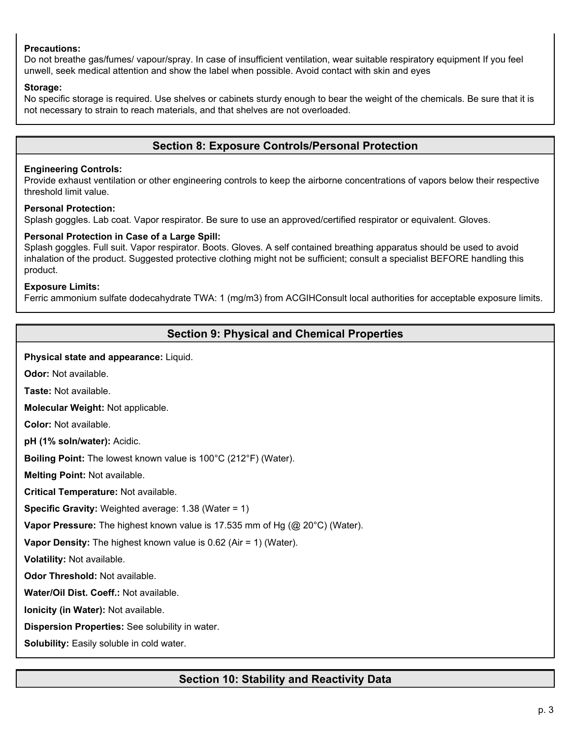#### **Precautions:**

Do not breathe gas/fumes/ vapour/spray. In case of insufficient ventilation, wear suitable respiratory equipment If you feel unwell, seek medical attention and show the label when possible. Avoid contact with skin and eyes

#### **Storage:**

No specific storage is required. Use shelves or cabinets sturdy enough to bear the weight of the chemicals. Be sure that it is not necessary to strain to reach materials, and that shelves are not overloaded.

### **Section 8: Exposure Controls/Personal Protection**

#### **Engineering Controls:**

Provide exhaust ventilation or other engineering controls to keep the airborne concentrations of vapors below their respective threshold limit value.

#### **Personal Protection:**

Splash goggles. Lab coat. Vapor respirator. Be sure to use an approved/certified respirator or equivalent. Gloves.

#### **Personal Protection in Case of a Large Spill:**

Splash goggles. Full suit. Vapor respirator. Boots. Gloves. A self contained breathing apparatus should be used to avoid inhalation of the product. Suggested protective clothing might not be sufficient; consult a specialist BEFORE handling this product.

#### **Exposure Limits:**

Ferric ammonium sulfate dodecahydrate TWA: 1 (mg/m3) from ACGIHConsult local authorities for acceptable exposure limits.

### **Section 9: Physical and Chemical Properties**

**Physical state and appearance:** Liquid.

**Odor:** Not available.

**Taste:** Not available.

**Molecular Weight:** Not applicable.

**Color:** Not available.

**pH (1% soln/water):** Acidic.

**Boiling Point:** The lowest known value is 100°C (212°F) (Water).

**Melting Point:** Not available.

**Critical Temperature:** Not available.

**Specific Gravity:** Weighted average: 1.38 (Water = 1)

**Vapor Pressure:** The highest known value is 17.535 mm of Hg (@ 20°C) (Water).

**Vapor Density:** The highest known value is 0.62 (Air = 1) (Water).

**Volatility:** Not available.

**Odor Threshold:** Not available.

**Water/Oil Dist. Coeff.:** Not available.

**Ionicity (in Water):** Not available.

**Dispersion Properties:** See solubility in water.

**Solubility:** Easily soluble in cold water.

# **Section 10: Stability and Reactivity Data**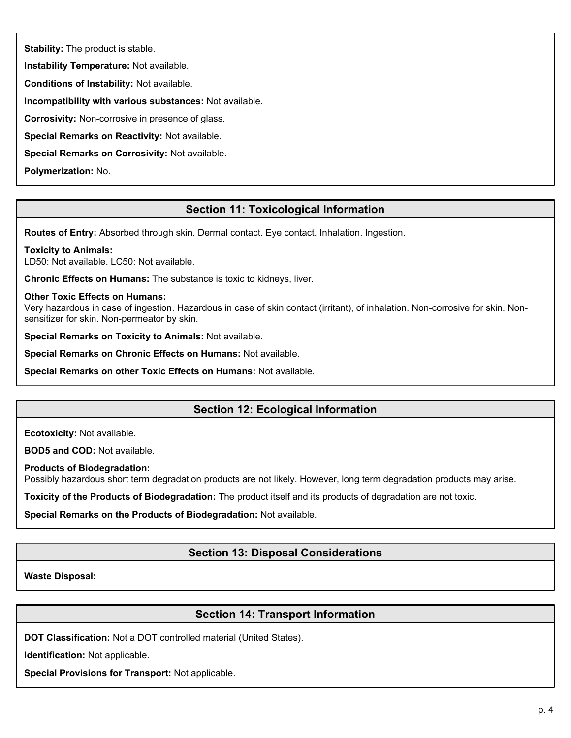**Stability:** The product is stable.

**Instability Temperature:** Not available.

**Conditions of Instability:** Not available.

**Incompatibility with various substances:** Not available.

**Corrosivity:** Non-corrosive in presence of glass.

**Special Remarks on Reactivity:** Not available.

**Special Remarks on Corrosivity:** Not available.

**Polymerization:** No.

# **Section 11: Toxicological Information**

**Routes of Entry:** Absorbed through skin. Dermal contact. Eye contact. Inhalation. Ingestion.

**Toxicity to Animals:** LD50: Not available. LC50: Not available.

**Chronic Effects on Humans:** The substance is toxic to kidneys, liver.

#### **Other Toxic Effects on Humans:**

Very hazardous in case of ingestion. Hazardous in case of skin contact (irritant), of inhalation. Non-corrosive for skin. Nonsensitizer for skin. Non-permeator by skin.

**Special Remarks on Toxicity to Animals:** Not available.

**Special Remarks on Chronic Effects on Humans:** Not available.

**Special Remarks on other Toxic Effects on Humans:** Not available.

# **Section 12: Ecological Information**

**Ecotoxicity:** Not available.

**BOD5 and COD:** Not available.

#### **Products of Biodegradation:**

Possibly hazardous short term degradation products are not likely. However, long term degradation products may arise.

**Toxicity of the Products of Biodegradation:** The product itself and its products of degradation are not toxic.

**Special Remarks on the Products of Biodegradation:** Not available.

# **Section 13: Disposal Considerations**

**Waste Disposal:**

# **Section 14: Transport Information**

**DOT Classification:** Not a DOT controlled material (United States).

**Identification:** Not applicable.

**Special Provisions for Transport:** Not applicable.